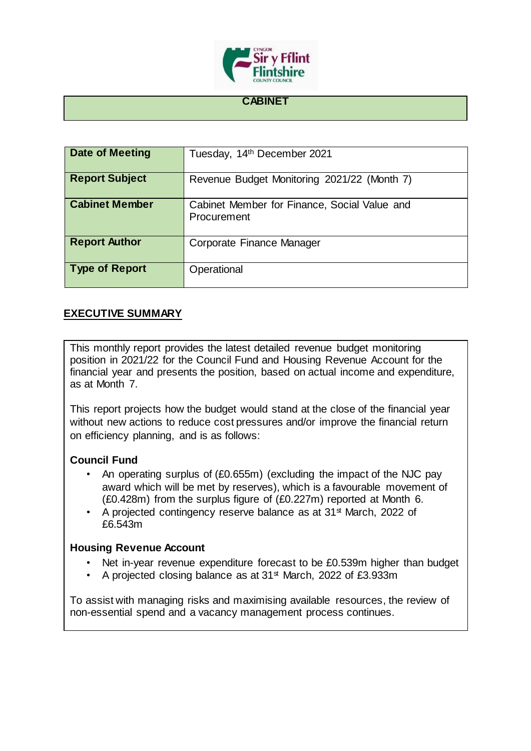

## **CABINET**

| <b>Date of Meeting</b> | Tuesday, 14th December 2021                                 |
|------------------------|-------------------------------------------------------------|
| <b>Report Subject</b>  | Revenue Budget Monitoring 2021/22 (Month 7)                 |
| <b>Cabinet Member</b>  | Cabinet Member for Finance, Social Value and<br>Procurement |
| <b>Report Author</b>   | Corporate Finance Manager                                   |
| <b>Type of Report</b>  | Operational                                                 |

# **EXECUTIVE SUMMARY**

This monthly report provides the latest detailed revenue budget monitoring position in 2021/22 for the Council Fund and Housing Revenue Account for the financial year and presents the position, based on actual income and expenditure, as at Month 7.

This report projects how the budget would stand at the close of the financial year without new actions to reduce cost pressures and/or improve the financial return on efficiency planning, and is as follows:

# **Council Fund**

- An operating surplus of (£0.655m) (excluding the impact of the NJC pay award which will be met by reserves), which is a favourable movement of (£0.428m) from the surplus figure of (£0.227m) reported at Month 6.
- A projected contingency reserve balance as at  $31<sup>st</sup>$  March, 2022 of £6.543m

## **Housing Revenue Account**

- Net in-year revenue expenditure forecast to be £0.539m higher than budget
- A projected closing balance as at 31<sup>st</sup> March, 2022 of £3.933m

To assist with managing risks and maximising available resources, the review of non-essential spend and a vacancy management process continues.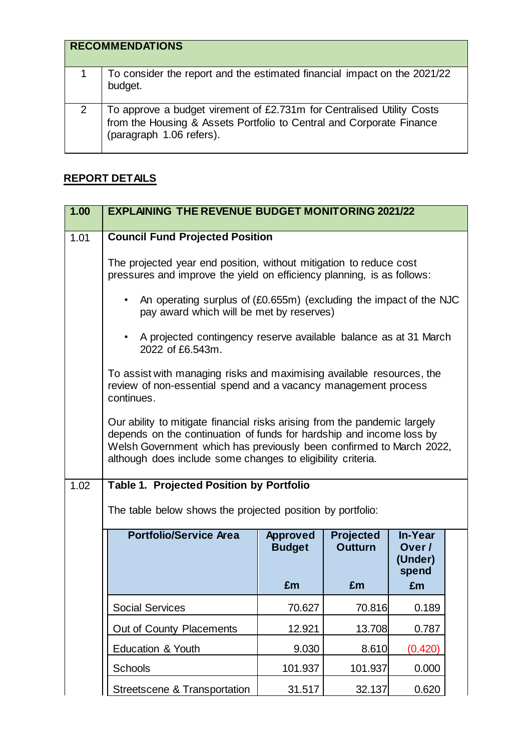|   | <b>RECOMMENDATIONS</b>                                                                                                                                                 |
|---|------------------------------------------------------------------------------------------------------------------------------------------------------------------------|
|   | To consider the report and the estimated financial impact on the 2021/22<br>budget.                                                                                    |
| 2 | To approve a budget virement of £2.731m for Centralised Utility Costs from the Housing & Assets Portfolio to Central and Corporate Finance<br>(paragraph 1.06 refers). |

# **REPORT DETAILS**

| 1.00 | <b>EXPLAINING THE REVENUE BUDGET MONITORING 2021/22</b>                                                                                                                                                                                                                                 |                                        |                                          |                                            |  |
|------|-----------------------------------------------------------------------------------------------------------------------------------------------------------------------------------------------------------------------------------------------------------------------------------------|----------------------------------------|------------------------------------------|--------------------------------------------|--|
| 1.01 | <b>Council Fund Projected Position</b>                                                                                                                                                                                                                                                  |                                        |                                          |                                            |  |
|      | The projected year end position, without mitigation to reduce cost<br>pressures and improve the yield on efficiency planning, is as follows:                                                                                                                                            |                                        |                                          |                                            |  |
|      | An operating surplus of (£0.655m) (excluding the impact of the NJC<br>$\bullet$<br>pay award which will be met by reserves)                                                                                                                                                             |                                        |                                          |                                            |  |
|      | A projected contingency reserve available balance as at 31 March<br>$\bullet$<br>2022 of £6.543m.                                                                                                                                                                                       |                                        |                                          |                                            |  |
|      | To assist with managing risks and maximising available resources, the<br>review of non-essential spend and a vacancy management process<br>continues.                                                                                                                                   |                                        |                                          |                                            |  |
|      | Our ability to mitigate financial risks arising from the pandemic largely<br>depends on the continuation of funds for hardship and income loss by<br>Welsh Government which has previously been confirmed to March 2022,<br>although does include some changes to eligibility criteria. |                                        |                                          |                                            |  |
| 1.02 | <b>Table 1. Projected Position by Portfolio</b>                                                                                                                                                                                                                                         |                                        |                                          |                                            |  |
|      | The table below shows the projected position by portfolio:                                                                                                                                                                                                                              |                                        |                                          |                                            |  |
|      | <b>Portfolio/Service Area</b>                                                                                                                                                                                                                                                           | <b>Approved</b><br><b>Budget</b><br>£m | <b>Projected</b><br><b>Outturn</b><br>£m | In-Year<br>Over/<br>(Under)<br>spend<br>£m |  |
|      | <b>Social Services</b>                                                                                                                                                                                                                                                                  | 70.627                                 | 70.816                                   | 0.189                                      |  |
|      | Out of County Placements                                                                                                                                                                                                                                                                | 12.921                                 | 13.708                                   | 0.787                                      |  |
|      | Education & Youth                                                                                                                                                                                                                                                                       | 9.030                                  | 8.610                                    | (0.420)                                    |  |
|      |                                                                                                                                                                                                                                                                                         |                                        |                                          |                                            |  |
|      | <b>Schools</b>                                                                                                                                                                                                                                                                          | 101.937                                | 101.937                                  | 0.000                                      |  |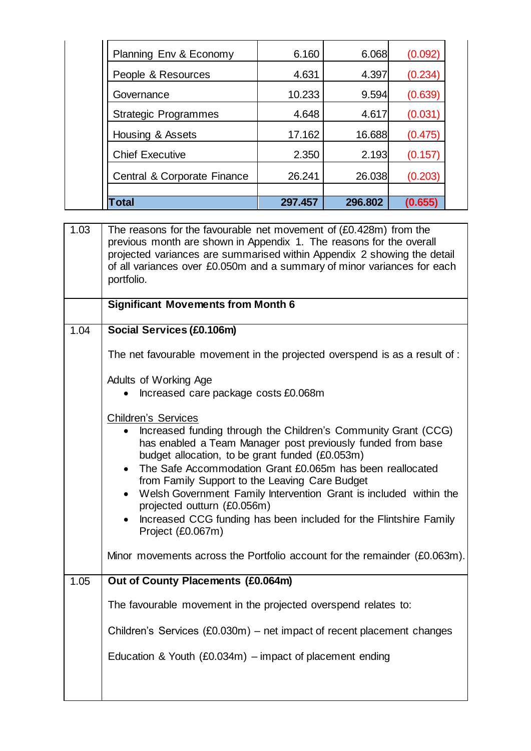| 10.233<br>4.648<br>17.162<br>2.350<br>26.241<br>297.457 | 9.594<br>4.617<br>16.688<br>2.193<br>26.038<br>296.802 | (0.234)<br>(0.639)<br>(0.031)<br>(0.475)<br>(0.157)<br>(0.203) |
|---------------------------------------------------------|--------------------------------------------------------|----------------------------------------------------------------|
|                                                         |                                                        |                                                                |
|                                                         |                                                        |                                                                |
|                                                         |                                                        |                                                                |
|                                                         |                                                        |                                                                |
|                                                         |                                                        |                                                                |
|                                                         |                                                        |                                                                |
| 4.631                                                   | 4.397                                                  |                                                                |
|                                                         |                                                        | (0.092)                                                        |
|                                                         |                                                        | 6.160<br>6.068                                                 |

| 1.03 | The reasons for the favourable net movement of (£0.428m) from the<br>previous month are shown in Appendix 1. The reasons for the overall<br>projected variances are summarised within Appendix 2 showing the detail<br>of all variances over £0.050m and a summary of minor variances for each<br>portfolio. |
|------|--------------------------------------------------------------------------------------------------------------------------------------------------------------------------------------------------------------------------------------------------------------------------------------------------------------|
|      | <b>Significant Movements from Month 6</b>                                                                                                                                                                                                                                                                    |
| 1.04 | Social Services (£0.106m)                                                                                                                                                                                                                                                                                    |
|      | The net favourable movement in the projected overspend is as a result of :                                                                                                                                                                                                                                   |
|      | Adults of Working Age                                                                                                                                                                                                                                                                                        |
|      | Increased care package costs £0.068m                                                                                                                                                                                                                                                                         |
|      | <b>Children's Services</b>                                                                                                                                                                                                                                                                                   |
|      | Increased funding through the Children's Community Grant (CCG)<br>has enabled a Team Manager post previously funded from base<br>budget allocation, to be grant funded (£0.053m)                                                                                                                             |
|      | The Safe Accommodation Grant £0.065m has been reallocated<br>$\bullet$<br>from Family Support to the Leaving Care Budget                                                                                                                                                                                     |
|      | Welsh Government Family Intervention Grant is included within the<br>$\bullet$<br>projected outturn (£0.056m)                                                                                                                                                                                                |
|      | Increased CCG funding has been included for the Flintshire Family<br>$\bullet$<br>Project (£0.067m)                                                                                                                                                                                                          |
|      | Minor movements across the Portfolio account for the remainder (£0.063m).                                                                                                                                                                                                                                    |
| 1.05 | Out of County Placements (£0.064m)                                                                                                                                                                                                                                                                           |
|      | The favourable movement in the projected overspend relates to:                                                                                                                                                                                                                                               |
|      | Children's Services (£0.030m) – net impact of recent placement changes                                                                                                                                                                                                                                       |
|      | Education & Youth (£0.034m) $-$ impact of placement ending                                                                                                                                                                                                                                                   |
|      |                                                                                                                                                                                                                                                                                                              |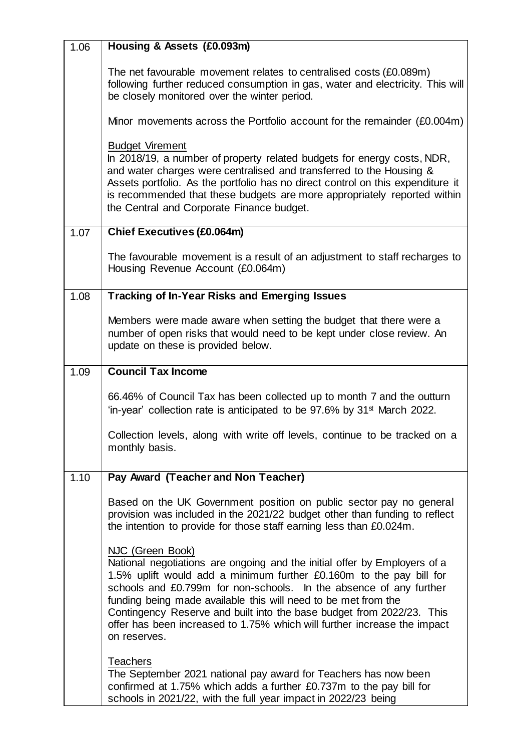| 1.06 | Housing & Assets (£0.093m)                                                                                                                                                                                                                                                                                                                                                                                                                                                        |
|------|-----------------------------------------------------------------------------------------------------------------------------------------------------------------------------------------------------------------------------------------------------------------------------------------------------------------------------------------------------------------------------------------------------------------------------------------------------------------------------------|
|      | The net favourable movement relates to centralised costs (£0.089m)<br>following further reduced consumption in gas, water and electricity. This will<br>be closely monitored over the winter period.                                                                                                                                                                                                                                                                              |
|      | Minor movements across the Portfolio account for the remainder $(£0.004m)$                                                                                                                                                                                                                                                                                                                                                                                                        |
|      | <b>Budget Virement</b><br>In 2018/19, a number of property related budgets for energy costs, NDR,<br>and water charges were centralised and transferred to the Housing &<br>Assets portfolio. As the portfolio has no direct control on this expenditure it<br>is recommended that these budgets are more appropriately reported within<br>the Central and Corporate Finance budget.                                                                                              |
| 1.07 | <b>Chief Executives (£0.064m)</b>                                                                                                                                                                                                                                                                                                                                                                                                                                                 |
|      | The favourable movement is a result of an adjustment to staff recharges to<br>Housing Revenue Account (£0.064m)                                                                                                                                                                                                                                                                                                                                                                   |
| 1.08 | <b>Tracking of In-Year Risks and Emerging Issues</b>                                                                                                                                                                                                                                                                                                                                                                                                                              |
|      | Members were made aware when setting the budget that there were a<br>number of open risks that would need to be kept under close review. An<br>update on these is provided below.                                                                                                                                                                                                                                                                                                 |
| 1.09 | <b>Council Tax Income</b>                                                                                                                                                                                                                                                                                                                                                                                                                                                         |
|      | 66.46% of Council Tax has been collected up to month 7 and the outturn<br>'in-year' collection rate is anticipated to be 97.6% by 31 <sup>st</sup> March 2022.                                                                                                                                                                                                                                                                                                                    |
|      | Collection levels, along with write off levels, continue to be tracked on a<br>monthly basis.                                                                                                                                                                                                                                                                                                                                                                                     |
| 1.10 | Pay Award (Teacher and Non Teacher)                                                                                                                                                                                                                                                                                                                                                                                                                                               |
|      | Based on the UK Government position on public sector pay no general<br>provision was included in the 2021/22 budget other than funding to reflect<br>the intention to provide for those staff earning less than £0.024m.                                                                                                                                                                                                                                                          |
|      | NJC (Green Book)<br>National negotiations are ongoing and the initial offer by Employers of a<br>1.5% uplift would add a minimum further £0.160m to the pay bill for<br>schools and £0.799m for non-schools. In the absence of any further<br>funding being made available this will need to be met from the<br>Contingency Reserve and built into the base budget from 2022/23. This<br>offer has been increased to 1.75% which will further increase the impact<br>on reserves. |
|      | <b>Teachers</b><br>The September 2021 national pay award for Teachers has now been<br>confirmed at 1.75% which adds a further £0.737m to the pay bill for<br>schools in 2021/22, with the full year impact in 2022/23 being                                                                                                                                                                                                                                                       |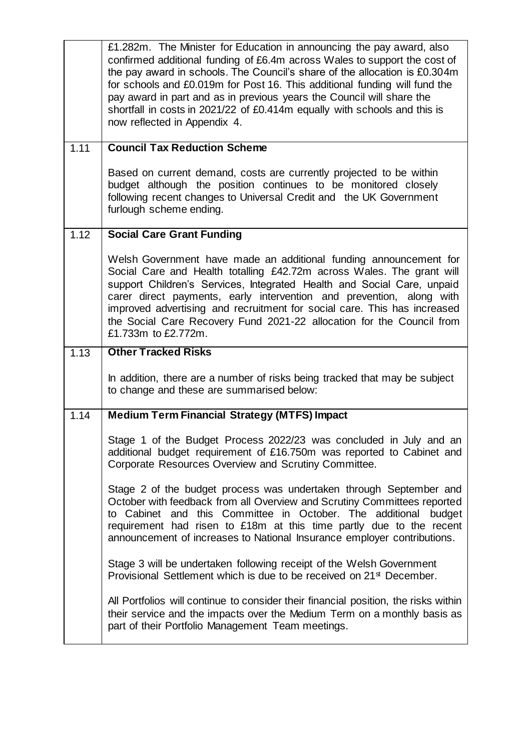|      | £1.282m. The Minister for Education in announcing the pay award, also<br>confirmed additional funding of £6.4m across Wales to support the cost of<br>the pay award in schools. The Council's share of the allocation is £0.304m<br>for schools and £0.019m for Post 16. This additional funding will fund the<br>pay award in part and as in previous years the Council will share the<br>shortfall in costs in 2021/22 of £0.414m equally with schools and this is<br>now reflected in Appendix 4. |
|------|------------------------------------------------------------------------------------------------------------------------------------------------------------------------------------------------------------------------------------------------------------------------------------------------------------------------------------------------------------------------------------------------------------------------------------------------------------------------------------------------------|
| 1.11 | <b>Council Tax Reduction Scheme</b>                                                                                                                                                                                                                                                                                                                                                                                                                                                                  |
|      | Based on current demand, costs are currently projected to be within<br>budget although the position continues to be monitored closely<br>following recent changes to Universal Credit and the UK Government<br>furlough scheme ending.                                                                                                                                                                                                                                                               |
| 1.12 | <b>Social Care Grant Funding</b>                                                                                                                                                                                                                                                                                                                                                                                                                                                                     |
|      | Welsh Government have made an additional funding announcement for<br>Social Care and Health totalling £42.72m across Wales. The grant will<br>support Children's Services, Integrated Health and Social Care, unpaid<br>carer direct payments, early intervention and prevention, along with<br>improved advertising and recruitment for social care. This has increased<br>the Social Care Recovery Fund 2021-22 allocation for the Council from<br>£1.733m to £2.772m.                             |
| 1.13 | <b>Other Tracked Risks</b>                                                                                                                                                                                                                                                                                                                                                                                                                                                                           |
|      | In addition, there are a number of risks being tracked that may be subject<br>to change and these are summarised below:                                                                                                                                                                                                                                                                                                                                                                              |
| 1.14 | <b>Medium Term Financial Strategy (MTFS) Impact</b>                                                                                                                                                                                                                                                                                                                                                                                                                                                  |
|      |                                                                                                                                                                                                                                                                                                                                                                                                                                                                                                      |
|      | Stage 1 of the Budget Process 2022/23 was concluded in July and an<br>additional budget requirement of £16.750m was reported to Cabinet and<br>Corporate Resources Overview and Scrutiny Committee.                                                                                                                                                                                                                                                                                                  |
|      | Stage 2 of the budget process was undertaken through September and<br>October with feedback from all Overview and Scrutiny Committees reported<br>to Cabinet and this Committee in October. The additional<br>budget<br>requirement had risen to £18m at this time partly due to the recent<br>announcement of increases to National Insurance employer contributions.                                                                                                                               |
|      | Stage 3 will be undertaken following receipt of the Welsh Government<br>Provisional Settlement which is due to be received on 21 <sup>st</sup> December.                                                                                                                                                                                                                                                                                                                                             |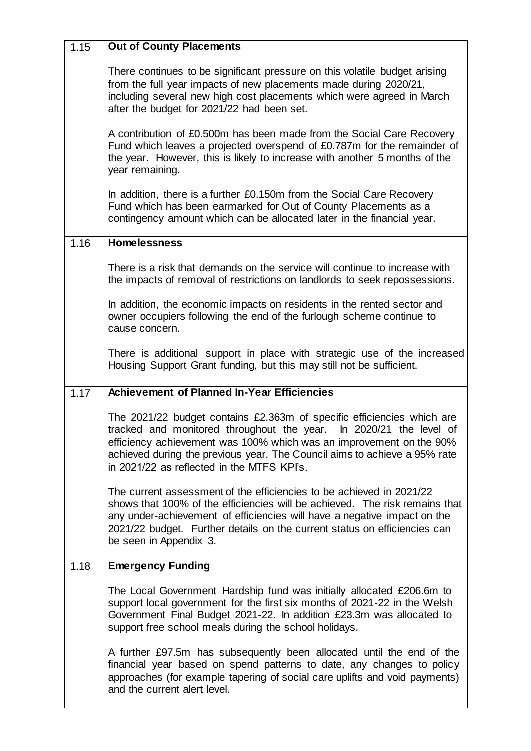| 1.15 | <b>Out of County Placements</b>                                                                                                                                                                                                                                                                                                                |
|------|------------------------------------------------------------------------------------------------------------------------------------------------------------------------------------------------------------------------------------------------------------------------------------------------------------------------------------------------|
|      | There continues to be significant pressure on this volatile budget arising<br>from the full year impacts of new placements made during 2020/21,<br>including several new high cost placements which were agreed in March<br>after the budget for 2021/22 had been set.                                                                         |
|      | A contribution of £0.500m has been made from the Social Care Recovery<br>Fund which leaves a projected overspend of £0.787m for the remainder of<br>the year. However, this is likely to increase with another 5 months of the<br>year remaining.                                                                                              |
|      | In addition, there is a further £0.150m from the Social Care Recovery<br>Fund which has been earmarked for Out of County Placements as a<br>contingency amount which can be allocated later in the financial year.                                                                                                                             |
| 1.16 | <b>Homelessness</b>                                                                                                                                                                                                                                                                                                                            |
|      | There is a risk that demands on the service will continue to increase with<br>the impacts of removal of restrictions on landlords to seek repossessions.                                                                                                                                                                                       |
|      | In addition, the economic impacts on residents in the rented sector and<br>owner occupiers following the end of the furlough scheme continue to<br>cause concern.                                                                                                                                                                              |
|      | There is additional support in place with strategic use of the increased<br>Housing Support Grant funding, but this may still not be sufficient.                                                                                                                                                                                               |
|      |                                                                                                                                                                                                                                                                                                                                                |
| 1.17 | <b>Achievement of Planned In-Year Efficiencies</b>                                                                                                                                                                                                                                                                                             |
|      | The 2021/22 budget contains £2.363m of specific efficiencies which are<br>tracked and monitored throughout the year. In 2020/21 the level of<br>efficiency achievement was 100% which was an improvement on the 90%<br>achieved during the previous year. The Council aims to achieve a 95% rate<br>in 2021/22 as reflected in the MTFS KPI's. |
|      | The current assessment of the efficiencies to be achieved in 2021/22<br>shows that 100% of the efficiencies will be achieved. The risk remains that<br>any under-achievement of efficiencies will have a negative impact on the<br>2021/22 budget. Further details on the current status on efficiencies can<br>be seen in Appendix 3.         |
| 1.18 | <b>Emergency Funding</b>                                                                                                                                                                                                                                                                                                                       |
|      | The Local Government Hardship fund was initially allocated £206.6m to<br>support local government for the first six months of 2021-22 in the Welsh<br>Government Final Budget 2021-22. In addition £23.3m was allocated to<br>support free school meals during the school holidays.                                                            |

7

r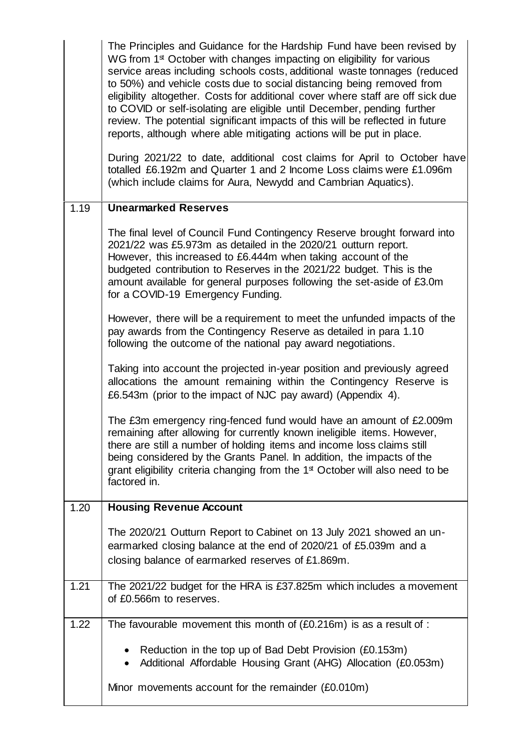|      | The Principles and Guidance for the Hardship Fund have been revised by<br>WG from 1 <sup>st</sup> October with changes impacting on eligibility for various<br>service areas including schools costs, additional waste tonnages (reduced<br>to 50%) and vehicle costs due to social distancing being removed from<br>eligibility altogether. Costs for additional cover where staff are off sick due<br>to COVID or self-isolating are eligible until December, pending further<br>review. The potential significant impacts of this will be reflected in future<br>reports, although where able mitigating actions will be put in place. |
|------|-------------------------------------------------------------------------------------------------------------------------------------------------------------------------------------------------------------------------------------------------------------------------------------------------------------------------------------------------------------------------------------------------------------------------------------------------------------------------------------------------------------------------------------------------------------------------------------------------------------------------------------------|
|      | During 2021/22 to date, additional cost claims for April to October have<br>totalled £6.192m and Quarter 1 and 2 Income Loss claims were £1.096m<br>(which include claims for Aura, Newydd and Cambrian Aquatics).                                                                                                                                                                                                                                                                                                                                                                                                                        |
| 1.19 | <b>Unearmarked Reserves</b>                                                                                                                                                                                                                                                                                                                                                                                                                                                                                                                                                                                                               |
|      | The final level of Council Fund Contingency Reserve brought forward into<br>2021/22 was £5.973m as detailed in the 2020/21 outturn report.<br>However, this increased to £6.444m when taking account of the<br>budgeted contribution to Reserves in the 2021/22 budget. This is the<br>amount available for general purposes following the set-aside of £3.0m<br>for a COVID-19 Emergency Funding.                                                                                                                                                                                                                                        |
|      | However, there will be a requirement to meet the unfunded impacts of the<br>pay awards from the Contingency Reserve as detailed in para 1.10<br>following the outcome of the national pay award negotiations.                                                                                                                                                                                                                                                                                                                                                                                                                             |
|      | Taking into account the projected in-year position and previously agreed<br>allocations the amount remaining within the Contingency Reserve is<br>£6.543m (prior to the impact of NJC pay award) (Appendix 4).                                                                                                                                                                                                                                                                                                                                                                                                                            |
|      | The £3m emergency ring-fenced fund would have an amount of £2.009m<br>remaining after allowing for currently known ineligible items. However,<br>there are still a number of holding items and income loss claims still<br>being considered by the Grants Panel. In addition, the impacts of the<br>grant eligibility criteria changing from the 1 <sup>st</sup> October will also need to be<br>factored in.                                                                                                                                                                                                                             |
| 1.20 | <b>Housing Revenue Account</b>                                                                                                                                                                                                                                                                                                                                                                                                                                                                                                                                                                                                            |
|      | The 2020/21 Outturn Report to Cabinet on 13 July 2021 showed an un-<br>earmarked closing balance at the end of 2020/21 of £5.039m and a<br>closing balance of earmarked reserves of £1.869m.                                                                                                                                                                                                                                                                                                                                                                                                                                              |
| 1.21 | The 2021/22 budget for the HRA is £37.825m which includes a movement<br>of £0.566m to reserves.                                                                                                                                                                                                                                                                                                                                                                                                                                                                                                                                           |
| 1.22 | The favourable movement this month of $(£0.216m)$ is as a result of :                                                                                                                                                                                                                                                                                                                                                                                                                                                                                                                                                                     |
|      | Reduction in the top up of Bad Debt Provision (£0.153m)<br>٠<br>Additional Affordable Housing Grant (AHG) Allocation (£0.053m)                                                                                                                                                                                                                                                                                                                                                                                                                                                                                                            |
|      | Minor movements account for the remainder (£0.010m)                                                                                                                                                                                                                                                                                                                                                                                                                                                                                                                                                                                       |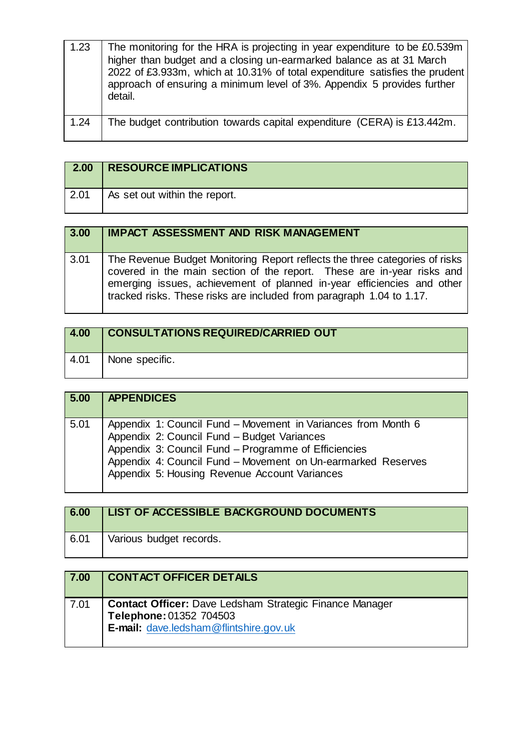| 1.23 | The monitoring for the HRA is projecting in year expenditure to be £0.539m<br>higher than budget and a closing un-earmarked balance as at 31 March<br>2022 of £3.933m, which at 10.31% of total expenditure satisfies the prudent<br>approach of ensuring a minimum level of 3%. Appendix 5 provides further<br>detail. |
|------|-------------------------------------------------------------------------------------------------------------------------------------------------------------------------------------------------------------------------------------------------------------------------------------------------------------------------|
| 1.24 | The budget contribution towards capital expenditure (CERA) is £13.442m.                                                                                                                                                                                                                                                 |

| 2.00 | <b>RESOURCE IMPLICATIONS</b>  |
|------|-------------------------------|
| 2.01 | As set out within the report. |

| 3.00 | <b>IMPACT ASSESSMENT AND RISK MANAGEMENT</b>                                                                                                                                                                                                                                                            |
|------|---------------------------------------------------------------------------------------------------------------------------------------------------------------------------------------------------------------------------------------------------------------------------------------------------------|
| 3.01 | The Revenue Budget Monitoring Report reflects the three categories of risks<br>covered in the main section of the report. These are in-year risks and<br>emerging issues, achievement of planned in-year efficiencies and other<br>tracked risks. These risks are included from paragraph 1.04 to 1.17. |

| 4.00 | <b>CONSULTATIONS REQUIRED/CARRIED OUT</b> |
|------|-------------------------------------------|
| 4.01 | None specific.                            |

| 5.00 | <b>APPENDICES</b>                                                                                                                                                                                                                                                                     |
|------|---------------------------------------------------------------------------------------------------------------------------------------------------------------------------------------------------------------------------------------------------------------------------------------|
| 5.01 | Appendix 1: Council Fund – Movement in Variances from Month 6<br>Appendix 2: Council Fund - Budget Variances<br>Appendix 3: Council Fund - Programme of Efficiencies<br>Appendix 4: Council Fund - Movement on Un-earmarked Reserves<br>Appendix 5: Housing Revenue Account Variances |

| 6.00 | <b>LIST OF ACCESSIBLE BACKGROUND DOCUMENTS</b> |
|------|------------------------------------------------|
| 6.01 | Various budget records.                        |

| 7.00 | <b>CONTACT OFFICER DETAILS</b>                                                                                                             |
|------|--------------------------------------------------------------------------------------------------------------------------------------------|
| 7.01 | <b>Contact Officer: Dave Ledsham Strategic Finance Manager</b><br>Telephone: 01352 704503<br><b>E-mail: dave.ledsham@flintshire.gov.uk</b> |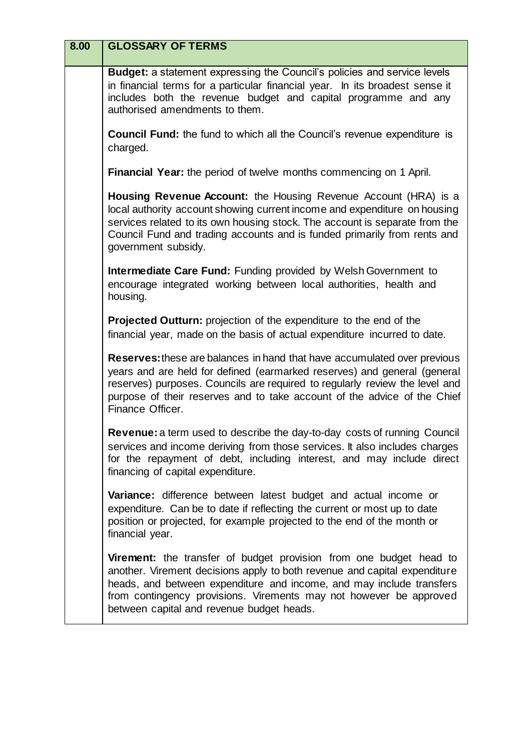| 8.00 | <b>GLOSSARY OF TERMS</b>                                                                                                                                                                                                                                                                                                                          |
|------|---------------------------------------------------------------------------------------------------------------------------------------------------------------------------------------------------------------------------------------------------------------------------------------------------------------------------------------------------|
|      | Budget: a statement expressing the Council's policies and service levels<br>in financial terms for a particular financial year. In its broadest sense it<br>includes both the revenue budget and capital programme and any<br>authorised amendments to them.                                                                                      |
|      | <b>Council Fund:</b> the fund to which all the Council's revenue expenditure is<br>charged.                                                                                                                                                                                                                                                       |
|      | <b>Financial Year:</b> the period of twelve months commencing on 1 April.                                                                                                                                                                                                                                                                         |
|      | Housing Revenue Account: the Housing Revenue Account (HRA) is a<br>local authority account showing current income and expenditure on housing<br>services related to its own housing stock. The account is separate from the<br>Council Fund and trading accounts and is funded primarily from rents and<br>government subsidy.                    |
|      | <b>Intermediate Care Fund: Funding provided by Welsh Government to</b><br>encourage integrated working between local authorities, health and<br>housing.                                                                                                                                                                                          |
|      | <b>Projected Outturn:</b> projection of the expenditure to the end of the<br>financial year, made on the basis of actual expenditure incurred to date.                                                                                                                                                                                            |
|      | <b>Reserves:</b> these are balances in hand that have accumulated over previous<br>years and are held for defined (earmarked reserves) and general (general<br>reserves) purposes. Councils are required to regularly review the level and<br>purpose of their reserves and to take account of the advice of the Chief<br>Finance Officer.        |
|      | <b>Revenue:</b> a term used to describe the day-to-day costs of running Council<br>services and income deriving from those services. It also includes charges<br>for the repayment of debt, including interest, and may include direct<br>financing of capital expenditure.                                                                       |
|      | Variance: difference between latest budget and actual income or<br>expenditure. Can be to date if reflecting the current or most up to date<br>position or projected, for example projected to the end of the month or<br>financial year.                                                                                                         |
|      | <b>Virement:</b> the transfer of budget provision from one budget head to<br>another. Virement decisions apply to both revenue and capital expenditure<br>heads, and between expenditure and income, and may include transfers<br>from contingency provisions. Virements may not however be approved<br>between capital and revenue budget heads. |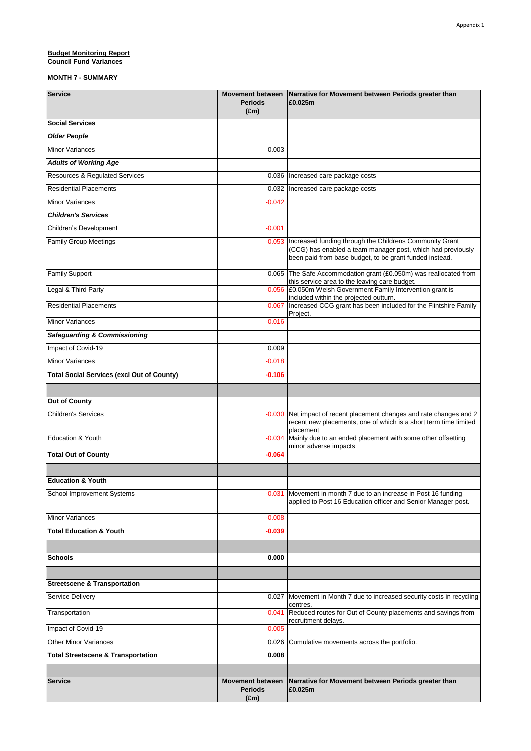#### **Budget Monitoring Report** 7.0000 *Pullet Monitoring Report* **Council Fund Variances**

| <b>Service</b>                                    | <b>Periods</b><br>$(\text{Em})$                            | Movement between Narrative for Movement between Periods greater than<br>£0.025m                                                                                                   |
|---------------------------------------------------|------------------------------------------------------------|-----------------------------------------------------------------------------------------------------------------------------------------------------------------------------------|
| <b>Social Services</b>                            |                                                            |                                                                                                                                                                                   |
| <b>Older People</b>                               |                                                            |                                                                                                                                                                                   |
| <b>Minor Variances</b>                            | 0.003                                                      |                                                                                                                                                                                   |
| <b>Adults of Working Age</b>                      |                                                            |                                                                                                                                                                                   |
| <b>Resources &amp; Regulated Services</b>         |                                                            | 0.036   Increased care package costs                                                                                                                                              |
| <b>Residential Placements</b>                     | 0.032                                                      | Increased care package costs                                                                                                                                                      |
| <b>Minor Variances</b>                            | $-0.042$                                                   |                                                                                                                                                                                   |
| <b>Children's Services</b>                        |                                                            |                                                                                                                                                                                   |
| Children's Development                            | $-0.001$                                                   |                                                                                                                                                                                   |
| <b>Family Group Meetings</b>                      | $-0.053$                                                   | Increased funding through the Childrens Community Grant<br>(CCG) has enabled a team manager post, which had previously<br>been paid from base budget, to be grant funded instead. |
| <b>Family Support</b>                             |                                                            | 0.065 The Safe Accommodation grant (£0.050m) was reallocated from                                                                                                                 |
| Legal & Third Party                               | $-0.056$                                                   | this service area to the leaving care budget.<br>£0.050m Welsh Government Family Intervention grant is                                                                            |
| <b>Residential Placements</b>                     | $-0.067$                                                   | included within the projected outturn.<br>Increased CCG grant has been included for the Flintshire Family                                                                         |
| <b>Minor Variances</b>                            | $-0.016$                                                   | Project.                                                                                                                                                                          |
| <b>Safeguarding &amp; Commissioning</b>           |                                                            |                                                                                                                                                                                   |
| Impact of Covid-19                                | 0.009                                                      |                                                                                                                                                                                   |
| <b>Minor Variances</b>                            | $-0.018$                                                   |                                                                                                                                                                                   |
| <b>Total Social Services (excl Out of County)</b> | $-0.106$                                                   |                                                                                                                                                                                   |
|                                                   |                                                            |                                                                                                                                                                                   |
| <b>Out of County</b>                              |                                                            |                                                                                                                                                                                   |
| <b>Children's Services</b>                        | $-0.030$                                                   | Net impact of recent placement changes and rate changes and 2<br>recent new placements, one of which is a short term time limited<br>placement                                    |
| Education & Youth                                 | $-0.034$                                                   | Mainly due to an ended placement with some other offsetting<br>minor adverse impacts                                                                                              |
| <b>Total Out of County</b>                        | $-0.064$                                                   |                                                                                                                                                                                   |
|                                                   |                                                            |                                                                                                                                                                                   |
| <b>Education &amp; Youth</b>                      |                                                            |                                                                                                                                                                                   |
| School Improvement Systems                        |                                                            | -0.031 Movement in month 7 due to an increase in Post 16 funding<br>applied to Post 16 Education officer and Senior Manager post.                                                 |
| Minor Variances                                   | $-0.008$                                                   |                                                                                                                                                                                   |
| <b>Total Education &amp; Youth</b>                | $-0.039$                                                   |                                                                                                                                                                                   |
|                                                   |                                                            |                                                                                                                                                                                   |
| <b>Schools</b>                                    | 0.000                                                      |                                                                                                                                                                                   |
| <b>Streetscene &amp; Transportation</b>           |                                                            |                                                                                                                                                                                   |
| Service Delivery                                  | 0.027                                                      | Movement in Month 7 due to increased security costs in recycling                                                                                                                  |
| Transportation                                    | $-0.041$                                                   | centres.<br>Reduced routes for Out of County placements and savings from                                                                                                          |
| Impact of Covid-19                                | $-0.005$                                                   | recruitment delays.                                                                                                                                                               |
| <b>Other Minor Variances</b>                      |                                                            | Cumulative movements across the portfolio.                                                                                                                                        |
| <b>Total Streetscene &amp; Transportation</b>     | 0.026<br>0.008                                             |                                                                                                                                                                                   |
|                                                   |                                                            |                                                                                                                                                                                   |
| <b>Service</b>                                    | <b>Movement between</b><br><b>Periods</b><br>$(\text{Em})$ | Narrative for Movement between Periods greater than<br>£0.025m                                                                                                                    |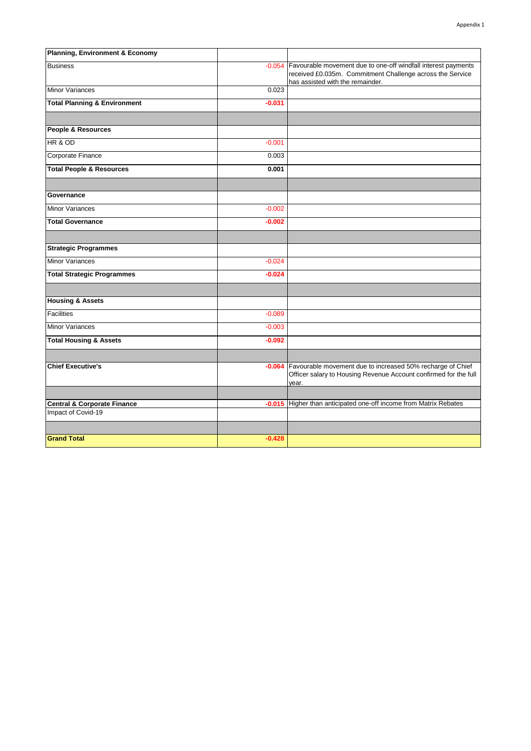| Planning, Environment & Economy         |          |                                                                                                                                                                |
|-----------------------------------------|----------|----------------------------------------------------------------------------------------------------------------------------------------------------------------|
| <b>Business</b>                         | $-0.054$ | Favourable movement due to one-off windfall interest payments<br>received £0.035m. Commitment Challenge across the Service<br>has assisted with the remainder. |
| <b>Minor Variances</b>                  | 0.023    |                                                                                                                                                                |
| <b>Total Planning &amp; Environment</b> | $-0.031$ |                                                                                                                                                                |
|                                         |          |                                                                                                                                                                |
| People & Resources                      |          |                                                                                                                                                                |
| HR & OD                                 | $-0.001$ |                                                                                                                                                                |
| Corporate Finance                       | 0.003    |                                                                                                                                                                |
| <b>Total People &amp; Resources</b>     | 0.001    |                                                                                                                                                                |
|                                         |          |                                                                                                                                                                |
| Governance                              |          |                                                                                                                                                                |
| <b>Minor Variances</b>                  | $-0.002$ |                                                                                                                                                                |
| <b>Total Governance</b>                 | $-0.002$ |                                                                                                                                                                |
|                                         |          |                                                                                                                                                                |
| <b>Strategic Programmes</b>             |          |                                                                                                                                                                |
| <b>Minor Variances</b>                  | $-0.024$ |                                                                                                                                                                |
| <b>Total Strategic Programmes</b>       | $-0.024$ |                                                                                                                                                                |
|                                         |          |                                                                                                                                                                |
| <b>Housing &amp; Assets</b>             |          |                                                                                                                                                                |
| <b>Facilities</b>                       | $-0.089$ |                                                                                                                                                                |
| <b>Minor Variances</b>                  | $-0.003$ |                                                                                                                                                                |
| <b>Total Housing &amp; Assets</b>       | $-0.092$ |                                                                                                                                                                |
|                                         |          |                                                                                                                                                                |
| <b>Chief Executive's</b>                | $-0.064$ | Favourable movement due to increased 50% recharge of Chief<br>Officer salary to Housing Revenue Account confirmed for the full<br>year.                        |
|                                         |          |                                                                                                                                                                |
| <b>Central &amp; Corporate Finance</b>  | $-0.015$ | Higher than anticipated one-off income from Matrix Rebates                                                                                                     |
| Impact of Covid-19                      |          |                                                                                                                                                                |
|                                         |          |                                                                                                                                                                |
| <b>Grand Total</b>                      | $-0.428$ |                                                                                                                                                                |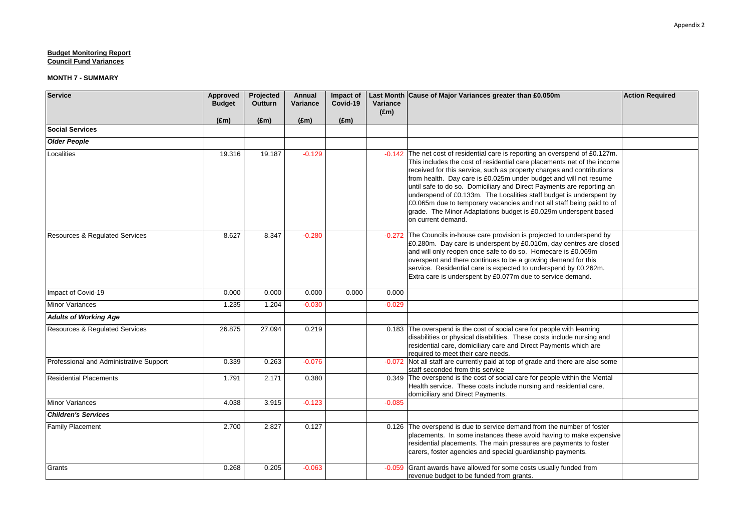| <b>Service</b>                            | Approved<br><b>Budget</b> | Projected<br><b>Outturn</b> | Annual<br>Variance | Impact of<br>Covid-19 | Variance<br>$(\text{Em})$ | Last Month Cause of Major Variances greater than £0.050m                                                                                                                                                                                                                                                                                                                                                                                                                                                                                                                                                          | <b>Action Required</b> |
|-------------------------------------------|---------------------------|-----------------------------|--------------------|-----------------------|---------------------------|-------------------------------------------------------------------------------------------------------------------------------------------------------------------------------------------------------------------------------------------------------------------------------------------------------------------------------------------------------------------------------------------------------------------------------------------------------------------------------------------------------------------------------------------------------------------------------------------------------------------|------------------------|
|                                           | $(\text{Em})$             | $(\text{Em})$               | $(\text{Em})$      | $(\text{Em})$         |                           |                                                                                                                                                                                                                                                                                                                                                                                                                                                                                                                                                                                                                   |                        |
| <b>Social Services</b>                    |                           |                             |                    |                       |                           |                                                                                                                                                                                                                                                                                                                                                                                                                                                                                                                                                                                                                   |                        |
| <b>Older People</b>                       |                           |                             |                    |                       |                           |                                                                                                                                                                                                                                                                                                                                                                                                                                                                                                                                                                                                                   |                        |
| Localities                                | 19.316                    | 19.187                      | $-0.129$           |                       | $-0.142$                  | The net cost of residential care is reporting an overspend of £0.127m.<br>This includes the cost of residential care placements net of the income<br>received for this service, such as property charges and contributions<br>from health. Day care is £0.025m under budget and will not resume<br>until safe to do so. Domiciliary and Direct Payments are reporting an<br>underspend of £0.133m. The Localities staff budget is underspent by<br>£0.065m due to temporary vacancies and not all staff being paid to of<br>grade. The Minor Adaptations budget is £0.029m underspent based<br>on current demand. |                        |
| Resources & Regulated Services            | 8.627                     | 8.347                       | $-0.280$           |                       |                           | -0.272 The Councils in-house care provision is projected to underspend by<br>£0.280m. Day care is underspent by £0.010m, day centres are closed<br>and will only reopen once safe to do so. Homecare is £0.069m<br>overspent and there continues to be a growing demand for this<br>service. Residential care is expected to underspend by £0.262m.<br>Extra care is underspent by £0.077m due to service demand.                                                                                                                                                                                                 |                        |
| Impact of Covid-19                        | 0.000                     | 0.000                       | 0.000              | 0.000                 | 0.000                     |                                                                                                                                                                                                                                                                                                                                                                                                                                                                                                                                                                                                                   |                        |
| <b>Minor Variances</b>                    | 1.235                     | 1.204                       | $-0.030$           |                       | $-0.029$                  |                                                                                                                                                                                                                                                                                                                                                                                                                                                                                                                                                                                                                   |                        |
| <b>Adults of Working Age</b>              |                           |                             |                    |                       |                           |                                                                                                                                                                                                                                                                                                                                                                                                                                                                                                                                                                                                                   |                        |
| <b>Resources &amp; Regulated Services</b> | 26.875                    | 27.094                      | 0.219              |                       |                           | 0.183 The overspend is the cost of social care for people with learning<br>disabilities or physical disabilities. These costs include nursing and<br>residential care, domiciliary care and Direct Payments which are<br>required to meet their care needs.                                                                                                                                                                                                                                                                                                                                                       |                        |
| Professional and Administrative Support   | 0.339                     | 0.263                       | $-0.076$           |                       |                           | -0.072 Not all staff are currently paid at top of grade and there are also some<br>staff seconded from this service                                                                                                                                                                                                                                                                                                                                                                                                                                                                                               |                        |
| <b>Residential Placements</b>             | 1.791                     | 2.171                       | 0.380              |                       |                           | 0.349 The overspend is the cost of social care for people within the Mental<br>Health service. These costs include nursing and residential care,<br>domiciliary and Direct Payments.                                                                                                                                                                                                                                                                                                                                                                                                                              |                        |
| <b>Minor Variances</b>                    | 4.038                     | 3.915                       | $-0.123$           |                       | $-0.085$                  |                                                                                                                                                                                                                                                                                                                                                                                                                                                                                                                                                                                                                   |                        |
| <b>Children's Services</b>                |                           |                             |                    |                       |                           |                                                                                                                                                                                                                                                                                                                                                                                                                                                                                                                                                                                                                   |                        |
| <b>Family Placement</b>                   | 2.700                     | 2.827                       | 0.127              |                       |                           | 0.126 The overspend is due to service demand from the number of foster<br>placements. In some instances these avoid having to make expensive<br>residential placements. The main pressures are payments to foster<br>carers, foster agencies and special quardianship payments.                                                                                                                                                                                                                                                                                                                                   |                        |
| Grants                                    | 0.268                     | 0.205                       | $-0.063$           |                       | $-0.059$                  | Grant awards have allowed for some costs usually funded from<br>revenue budget to be funded from grants.                                                                                                                                                                                                                                                                                                                                                                                                                                                                                                          |                        |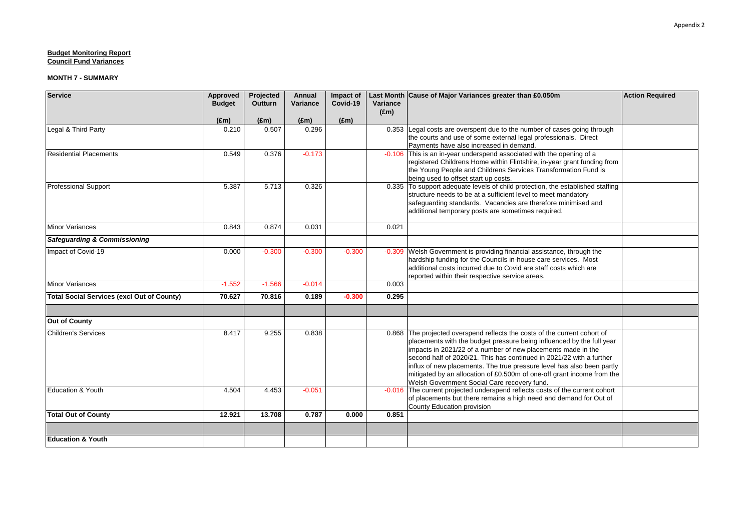| <b>Service</b>                                    | Approved<br><b>Budget</b><br>$(\text{Em})$ | Projected<br><b>Outturn</b><br>(Em) | Annual<br>Variance<br>$(\text{Em})$ | Impact of<br>Covid-19<br>$(\text{Em})$ | Variance<br>$(\text{Em})$ | Last Month Cause of Major Variances greater than £0.050m                                                                                                                                                                                                                                                                                                                                                                                                                                      | <b>Action Required</b> |
|---------------------------------------------------|--------------------------------------------|-------------------------------------|-------------------------------------|----------------------------------------|---------------------------|-----------------------------------------------------------------------------------------------------------------------------------------------------------------------------------------------------------------------------------------------------------------------------------------------------------------------------------------------------------------------------------------------------------------------------------------------------------------------------------------------|------------------------|
| Legal & Third Party                               | 0.210                                      | 0.507                               | 0.296                               |                                        | 0.353                     | Legal costs are overspent due to the number of cases going through<br>the courts and use of some external legal professionals. Direct<br>Payments have also increased in demand.                                                                                                                                                                                                                                                                                                              |                        |
| <b>Residential Placements</b>                     | 0.549                                      | 0.376                               | $-0.173$                            |                                        |                           | -0.106 This is an in-year underspend associated with the opening of a<br>registered Childrens Home within Flintshire, in-year grant funding from<br>the Young People and Childrens Services Transformation Fund is<br>being used to offset start up costs.                                                                                                                                                                                                                                    |                        |
| <b>Professional Support</b>                       | 5.387                                      | 5.713                               | 0.326                               |                                        |                           | 0.335 To support adequate levels of child protection, the established staffing<br>structure needs to be at a sufficient level to meet mandatory<br>safeguarding standards. Vacancies are therefore minimised and<br>additional temporary posts are sometimes required.                                                                                                                                                                                                                        |                        |
| <b>Minor Variances</b>                            | 0.843                                      | 0.874                               | 0.031                               |                                        | 0.021                     |                                                                                                                                                                                                                                                                                                                                                                                                                                                                                               |                        |
| <b>Safeguarding &amp; Commissioning</b>           |                                            |                                     |                                     |                                        |                           |                                                                                                                                                                                                                                                                                                                                                                                                                                                                                               |                        |
| Impact of Covid-19                                | 0.000                                      | $-0.300$                            | $-0.300$                            | $-0.300$                               |                           | -0.309 Welsh Government is providing financial assistance, through the<br>hardship funding for the Councils in-house care services. Most<br>additional costs incurred due to Covid are staff costs which are<br>reported within their respective service areas.                                                                                                                                                                                                                               |                        |
| Minor Variances                                   | $-1.552$                                   | $-1.566$                            | $-0.014$                            |                                        | 0.003                     |                                                                                                                                                                                                                                                                                                                                                                                                                                                                                               |                        |
| <b>Total Social Services (excl Out of County)</b> | 70.627                                     | 70.816                              | 0.189                               | $-0.300$                               | 0.295                     |                                                                                                                                                                                                                                                                                                                                                                                                                                                                                               |                        |
| <b>Out of County</b>                              |                                            |                                     |                                     |                                        |                           |                                                                                                                                                                                                                                                                                                                                                                                                                                                                                               |                        |
| <b>Children's Services</b>                        | 8.417                                      | 9.255                               | 0.838                               |                                        |                           | 0.868 The projected overspend reflects the costs of the current cohort of<br>placements with the budget pressure being influenced by the full year<br>impacts in 2021/22 of a number of new placements made in the<br>second half of 2020/21. This has continued in 2021/22 with a further<br>influx of new placements. The true pressure level has also been partly<br>mitigated by an allocation of £0.500m of one-off grant income from the<br>Welsh Government Social Care recovery fund. |                        |
| <b>Education &amp; Youth</b>                      | 4.504                                      | 4.453                               | $-0.051$                            |                                        |                           | -0.016 The current projected underspend reflects costs of the current cohort<br>of placements but there remains a high need and demand for Out of<br>County Education provision                                                                                                                                                                                                                                                                                                               |                        |
| <b>Total Out of County</b>                        | 12.921                                     | 13.708                              | 0.787                               | 0.000                                  | 0.851                     |                                                                                                                                                                                                                                                                                                                                                                                                                                                                                               |                        |
|                                                   |                                            |                                     |                                     |                                        |                           |                                                                                                                                                                                                                                                                                                                                                                                                                                                                                               |                        |
| <b>Education &amp; Youth</b>                      |                                            |                                     |                                     |                                        |                           |                                                                                                                                                                                                                                                                                                                                                                                                                                                                                               |                        |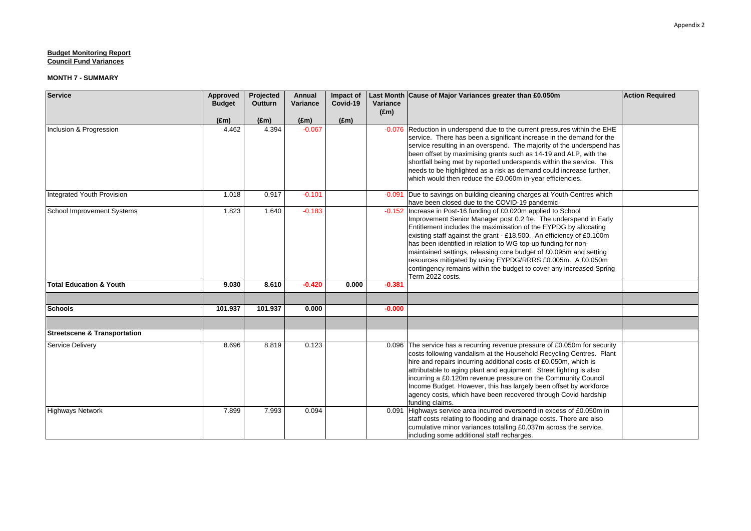| <b>Service</b>                          | Approved      | Projected | Annual        | Impact of     |                           | Last Month Cause of Major Variances greater than £0.050m                                                                                                                                                                                                                                                                                                                                                                                                                                                                                                                       | <b>Action Required</b> |
|-----------------------------------------|---------------|-----------|---------------|---------------|---------------------------|--------------------------------------------------------------------------------------------------------------------------------------------------------------------------------------------------------------------------------------------------------------------------------------------------------------------------------------------------------------------------------------------------------------------------------------------------------------------------------------------------------------------------------------------------------------------------------|------------------------|
|                                         | <b>Budget</b> | Outturn   | Variance      | Covid-19      | Variance<br>$(\text{Em})$ |                                                                                                                                                                                                                                                                                                                                                                                                                                                                                                                                                                                |                        |
|                                         | $(\text{Em})$ | (Em)      | $(\text{Em})$ | $(\text{Em})$ |                           |                                                                                                                                                                                                                                                                                                                                                                                                                                                                                                                                                                                |                        |
| Inclusion & Progression                 | 4.462         | 4.394     | $-0.067$      |               |                           | -0.076 Reduction in underspend due to the current pressures within the EHE<br>service. There has been a significant increase in the demand for the<br>service resulting in an overspend. The majority of the underspend has<br>been offset by maximising grants such as 14-19 and ALP, with the<br>shortfall being met by reported underspends within the service. This<br>needs to be highlighted as a risk as demand could increase further,<br>which would then reduce the £0.060m in-year efficiencies.                                                                    |                        |
| Integrated Youth Provision              | 1.018         | 0.917     | $-0.101$      |               | $-0.091$                  | Due to savings on building cleaning charges at Youth Centres which<br>have been closed due to the COVID-19 pandemic                                                                                                                                                                                                                                                                                                                                                                                                                                                            |                        |
| School Improvement Systems              | 1.823         | 1.640     | $-0.183$      |               |                           | -0.152 Increase in Post-16 funding of £0.020m applied to School<br>Improvement Senior Manager post 0.2 fte. The underspend in Early<br>Entitlement includes the maximisation of the EYPDG by allocating<br>existing staff against the grant - £18,500. An efficiency of £0.100m<br>has been identified in relation to WG top-up funding for non-<br>maintained settings, releasing core budget of £0.095m and setting<br>resources mitigated by using EYPDG/RRRS £0.005m. A £0.050m<br>contingency remains within the budget to cover any increased Spring<br>Term 2022 costs. |                        |
| Total Education & Youth                 | 9.030         | 8.610     | $-0.420$      | 0.000         | $-0.381$                  |                                                                                                                                                                                                                                                                                                                                                                                                                                                                                                                                                                                |                        |
| <b>Schools</b>                          | 101.937       | 101.937   | 0.000         |               | $-0.000$                  |                                                                                                                                                                                                                                                                                                                                                                                                                                                                                                                                                                                |                        |
|                                         |               |           |               |               |                           |                                                                                                                                                                                                                                                                                                                                                                                                                                                                                                                                                                                |                        |
| <b>Streetscene &amp; Transportation</b> |               |           |               |               |                           |                                                                                                                                                                                                                                                                                                                                                                                                                                                                                                                                                                                |                        |
| Service Delivery                        | 8.696         | 8.819     | 0.123         |               |                           | 0.096 The service has a recurring revenue pressure of £0.050m for security<br>costs following vandalism at the Household Recycling Centres. Plant<br>hire and repairs incurring additional costs of £0.050m, which is<br>attributable to aging plant and equipment. Street lighting is also<br>incurring a £0.120m revenue pressure on the Community Council<br>Income Budget. However, this has largely been offset by workforce<br>agency costs, which have been recovered through Covid hardship<br>funding claims.                                                         |                        |
| <b>Highways Network</b>                 | 7.899         | 7.993     | 0.094         |               |                           | 0.091 Highways service area incurred overspend in excess of £0.050m in<br>staff costs relating to flooding and drainage costs. There are also<br>cumulative minor variances totalling £0.037m across the service,<br>including some additional staff recharges.                                                                                                                                                                                                                                                                                                                |                        |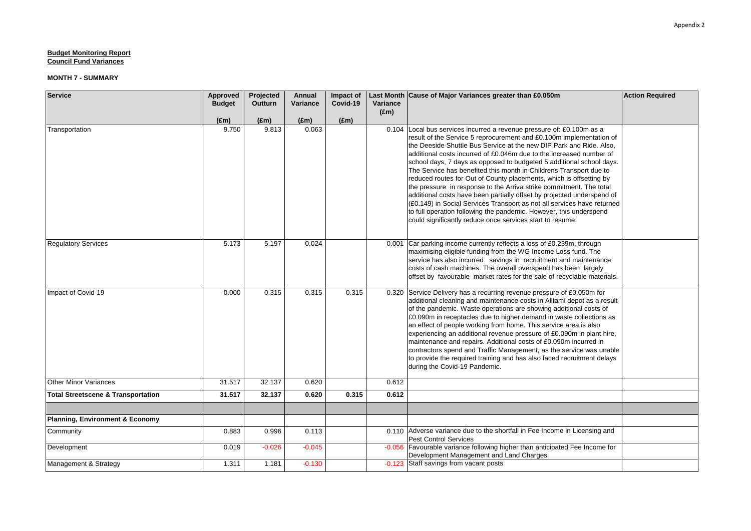| <b>Service</b>                                | Approved<br><b>Budget</b> | Projected<br><b>Outturn</b> | Annual<br>Variance | Impact of<br>Covid-19 | Variance      | Last Month Cause of Major Variances greater than £0.050m                                                                                                                                                                                                                                                                                                                                                                                                                                                                                                                                                                                                                                                                                                                                                                                                                 | <b>Action Required</b> |
|-----------------------------------------------|---------------------------|-----------------------------|--------------------|-----------------------|---------------|--------------------------------------------------------------------------------------------------------------------------------------------------------------------------------------------------------------------------------------------------------------------------------------------------------------------------------------------------------------------------------------------------------------------------------------------------------------------------------------------------------------------------------------------------------------------------------------------------------------------------------------------------------------------------------------------------------------------------------------------------------------------------------------------------------------------------------------------------------------------------|------------------------|
|                                               |                           |                             |                    |                       | $(\text{Em})$ |                                                                                                                                                                                                                                                                                                                                                                                                                                                                                                                                                                                                                                                                                                                                                                                                                                                                          |                        |
|                                               | $(\text{Em})$             | $(\text{Em})$               | $(\text{Em})$      | $(\text{Em})$         |               |                                                                                                                                                                                                                                                                                                                                                                                                                                                                                                                                                                                                                                                                                                                                                                                                                                                                          |                        |
| Transportation                                | 9.750                     | 9.813                       | 0.063              |                       | 0.104         | Local bus services incurred a revenue pressure of: £0.100m as a<br>result of the Service 5 reprocurement and £0.100m implementation of<br>the Deeside Shuttle Bus Service at the new DIP Park and Ride. Also,<br>additional costs incurred of £0.046m due to the increased number of<br>school days, 7 days as opposed to budgeted 5 additional school days.<br>The Service has benefited this month in Childrens Transport due to<br>reduced routes for Out of County placements, which is offsetting by<br>the pressure in response to the Arriva strike commitment. The total<br>additional costs have been partially offset by projected underspend of<br>(£0.149) in Social Services Transport as not all services have returned<br>to full operation following the pandemic. However, this underspend<br>could significantly reduce once services start to resume. |                        |
| <b>Regulatory Services</b>                    | 5.173                     | 5.197                       | 0.024              |                       |               | 0.001 Car parking income currently reflects a loss of £0.239m, through<br>maximising eligible funding from the WG Income Loss fund. The<br>service has also incurred savings in recruitment and maintenance<br>costs of cash machines. The overall overspend has been largely<br>offset by favourable market rates for the sale of recyclable materials.                                                                                                                                                                                                                                                                                                                                                                                                                                                                                                                 |                        |
| Impact of Covid-19                            | 0.000                     | 0.315                       | 0.315              | 0.315                 |               | 0.320 Service Delivery has a recurring revenue pressure of £0.050m for<br>additional cleaning and maintenance costs in Alltami depot as a result<br>of the pandemic. Waste operations are showing additional costs of<br>£0.090m in receptacles due to higher demand in waste collections as<br>an effect of people working from home. This service area is also<br>experiencing an additional revenue pressure of £0.090m in plant hire,<br>maintenance and repairs. Additional costs of £0.090m incurred in<br>contractors spend and Traffic Management, as the service was unable<br>to provide the required training and has also faced recruitment delays<br>during the Covid-19 Pandemic.                                                                                                                                                                          |                        |
| <b>Other Minor Variances</b>                  | 31.517                    | 32.137                      | 0.620              |                       | 0.612         |                                                                                                                                                                                                                                                                                                                                                                                                                                                                                                                                                                                                                                                                                                                                                                                                                                                                          |                        |
| <b>Total Streetscene &amp; Transportation</b> | 31.517                    | 32.137                      | 0.620              | 0.315                 | 0.612         |                                                                                                                                                                                                                                                                                                                                                                                                                                                                                                                                                                                                                                                                                                                                                                                                                                                                          |                        |
|                                               |                           |                             |                    |                       |               |                                                                                                                                                                                                                                                                                                                                                                                                                                                                                                                                                                                                                                                                                                                                                                                                                                                                          |                        |
| <b>Planning, Environment &amp; Economy</b>    |                           |                             |                    |                       |               |                                                                                                                                                                                                                                                                                                                                                                                                                                                                                                                                                                                                                                                                                                                                                                                                                                                                          |                        |
| Community                                     | 0.883                     | 0.996                       | 0.113              |                       |               | 0.110 Adverse variance due to the shortfall in Fee Income in Licensing and<br><b>Pest Control Services</b>                                                                                                                                                                                                                                                                                                                                                                                                                                                                                                                                                                                                                                                                                                                                                               |                        |
| Development                                   | 0.019                     | $-0.026$                    | $-0.045$           |                       |               | -0.056 Favourable variance following higher than anticipated Fee Income for<br>Development Management and Land Charges                                                                                                                                                                                                                                                                                                                                                                                                                                                                                                                                                                                                                                                                                                                                                   |                        |
| Management & Strategy                         | 1.311                     | 1.181                       | $-0.130$           |                       |               | -0.123 Staff savings from vacant posts                                                                                                                                                                                                                                                                                                                                                                                                                                                                                                                                                                                                                                                                                                                                                                                                                                   |                        |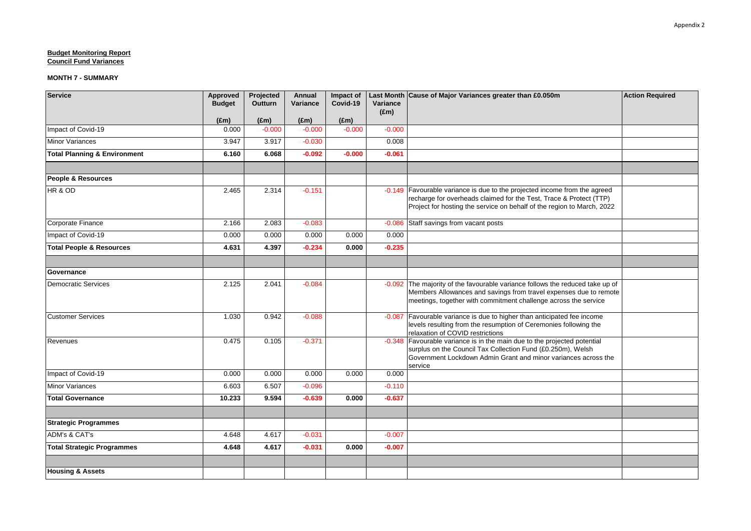| <b>Service</b>                          | Approved<br><b>Budget</b> | Projected<br><b>Outturn</b> | <b>Annual</b><br>Variance | Impact of<br>Covid-19 | Variance      | Last Month Cause of Major Variances greater than £0.050m                                                                                                                                                                  | <b>Action Required</b> |
|-----------------------------------------|---------------------------|-----------------------------|---------------------------|-----------------------|---------------|---------------------------------------------------------------------------------------------------------------------------------------------------------------------------------------------------------------------------|------------------------|
|                                         | $(\text{Em})$             | $(\text{Em})$               | $(\text{Em})$             | $(\text{Em})$         | $(\text{Em})$ |                                                                                                                                                                                                                           |                        |
| Impact of Covid-19                      | 0.000                     | $-0.000$                    | $-0.000$                  | $-0.000$              | $-0.000$      |                                                                                                                                                                                                                           |                        |
| <b>Minor Variances</b>                  | 3.947                     | 3.917                       | $-0.030$                  |                       | 0.008         |                                                                                                                                                                                                                           |                        |
| <b>Total Planning &amp; Environment</b> | 6.160                     | 6.068                       | $-0.092$                  | $-0.000$              | $-0.061$      |                                                                                                                                                                                                                           |                        |
|                                         |                           |                             |                           |                       |               |                                                                                                                                                                                                                           |                        |
| <b>People &amp; Resources</b>           |                           |                             |                           |                       |               |                                                                                                                                                                                                                           |                        |
| HR & OD                                 | 2.465                     | 2.314                       | $-0.151$                  |                       |               | -0.149 Favourable variance is due to the projected income from the agreed<br>recharge for overheads claimed for the Test, Trace & Protect (TTP)<br>Project for hosting the service on behalf of the region to March, 2022 |                        |
| Corporate Finance                       | 2.166                     | 2.083                       | $-0.083$                  |                       | $-0.086$      | Staff savings from vacant posts                                                                                                                                                                                           |                        |
| Impact of Covid-19                      | 0.000                     | 0.000                       | 0.000                     | 0.000                 | 0.000         |                                                                                                                                                                                                                           |                        |
| <b>Total People &amp; Resources</b>     | 4.631                     | 4.397                       | $-0.234$                  | 0.000                 | $-0.235$      |                                                                                                                                                                                                                           |                        |
|                                         |                           |                             |                           |                       |               |                                                                                                                                                                                                                           |                        |
| Governance                              |                           |                             |                           |                       |               |                                                                                                                                                                                                                           |                        |
| <b>Democratic Services</b>              | 2.125                     | 2.041                       | $-0.084$                  |                       | $-0.092$      | The majority of the favourable variance follows the reduced take up of<br>Members Allowances and savings from travel expenses due to remote<br>meetings, together with commitment challenge across the service            |                        |
| <b>Customer Services</b>                | 1.030                     | 0.942                       | $-0.088$                  |                       | $-0.087$      | Favourable variance is due to higher than anticipated fee income<br>levels resulting from the resumption of Ceremonies following the<br>relaxation of COVID restrictions                                                  |                        |
| Revenues                                | 0.475                     | 0.105                       | $-0.371$                  |                       |               | -0.348 Favourable variance is in the main due to the projected potential<br>surplus on the Council Tax Collection Fund (£0.250m), Welsh<br>Government Lockdown Admin Grant and minor variances across the<br>service      |                        |
| Impact of Covid-19                      | 0.000                     | 0.000                       | 0.000                     | 0.000                 | 0.000         |                                                                                                                                                                                                                           |                        |
| <b>Minor Variances</b>                  | 6.603                     | 6.507                       | $-0.096$                  |                       | $-0.110$      |                                                                                                                                                                                                                           |                        |
| <b>Total Governance</b>                 | 10.233                    | 9.594                       | $-0.639$                  | 0.000                 | $-0.637$      |                                                                                                                                                                                                                           |                        |
|                                         |                           |                             |                           |                       |               |                                                                                                                                                                                                                           |                        |
| <b>Strategic Programmes</b>             |                           |                             |                           |                       |               |                                                                                                                                                                                                                           |                        |
| <b>ADM's &amp; CAT's</b>                | 4.648                     | 4.617                       | $-0.031$                  |                       | $-0.007$      |                                                                                                                                                                                                                           |                        |
| <b>Total Strategic Programmes</b>       | 4.648                     | 4.617                       | $-0.031$                  | 0.000                 | $-0.007$      |                                                                                                                                                                                                                           |                        |
|                                         |                           |                             |                           |                       |               |                                                                                                                                                                                                                           |                        |
| <b>Housing &amp; Assets</b>             |                           |                             |                           |                       |               |                                                                                                                                                                                                                           |                        |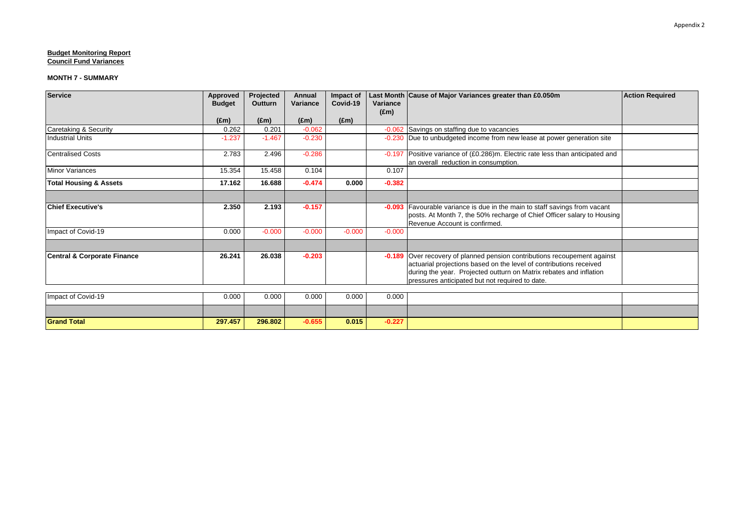| <b>Service</b>                         | <b>Approved</b><br><b>Budget</b> | Projected<br><b>Outturn</b> | Annual<br>Variance | Impact of<br>Covid-19 | Variance      | Last Month Cause of Major Variances greater than £0.050m                                                                                             | <b>Action Required</b> |
|----------------------------------------|----------------------------------|-----------------------------|--------------------|-----------------------|---------------|------------------------------------------------------------------------------------------------------------------------------------------------------|------------------------|
|                                        |                                  |                             |                    |                       | $(\text{Em})$ |                                                                                                                                                      |                        |
|                                        | $(\text{Em})$                    | $(\text{Em})$               | $(\text{Em})$      | $(\text{Em})$         |               |                                                                                                                                                      |                        |
| Caretaking & Security                  | 0.262                            | 0.201                       | $-0.062$           |                       |               | -0.062 Savings on staffing due to vacancies                                                                                                          |                        |
| <b>Industrial Units</b>                | $-1.237$                         | $-1.467$                    | $-0.230$           |                       |               | -0.230 Due to unbudgeted income from new lease at power generation site                                                                              |                        |
| <b>Centralised Costs</b>               | 2.783                            | 2.496                       | $-0.286$           |                       |               | -0.197 Positive variance of (£0.286)m. Electric rate less than anticipated and<br>an overall reduction in consumption.                               |                        |
| <b>Minor Variances</b>                 | 15.354                           | 15.458                      | 0.104              |                       | 0.107         |                                                                                                                                                      |                        |
| <b>Total Housing &amp; Assets</b>      | 17.162                           | 16.688                      | $-0.474$           | 0.000                 | $-0.382$      |                                                                                                                                                      |                        |
|                                        |                                  |                             |                    |                       |               |                                                                                                                                                      |                        |
| <b>Chief Executive's</b>               | 2.350                            | 2.193                       | $-0.157$           |                       |               | -0.093 Favourable variance is due in the main to staff savings from vacant<br>posts. At Month 7, the 50% recharge of Chief Officer salary to Housing |                        |
|                                        |                                  |                             |                    |                       |               | Revenue Account is confirmed.                                                                                                                        |                        |
| Impact of Covid-19                     | 0.000                            | $-0.000$                    | $-0.000$           | $-0.000$              | $-0.000$      |                                                                                                                                                      |                        |
|                                        |                                  |                             |                    |                       |               |                                                                                                                                                      |                        |
| <b>Central &amp; Corporate Finance</b> | 26.241                           | 26.038                      | $-0.203$           |                       |               | -0.189 Over recovery of planned pension contributions recoupement against                                                                            |                        |
|                                        |                                  |                             |                    |                       |               | actuarial projections based on the level of contributions received                                                                                   |                        |
|                                        |                                  |                             |                    |                       |               | during the year. Projected outturn on Matrix rebates and inflation                                                                                   |                        |
|                                        |                                  |                             |                    |                       |               | pressures anticipated but not required to date.                                                                                                      |                        |
| Impact of Covid-19                     | 0.000                            | 0.000                       | 0.000              | 0.000                 | 0.000         |                                                                                                                                                      |                        |
|                                        |                                  |                             |                    |                       |               |                                                                                                                                                      |                        |
| <b>Grand Total</b>                     | 297.457                          | 296.802                     | $-0.655$           | 0.015                 | $-0.227$      |                                                                                                                                                      |                        |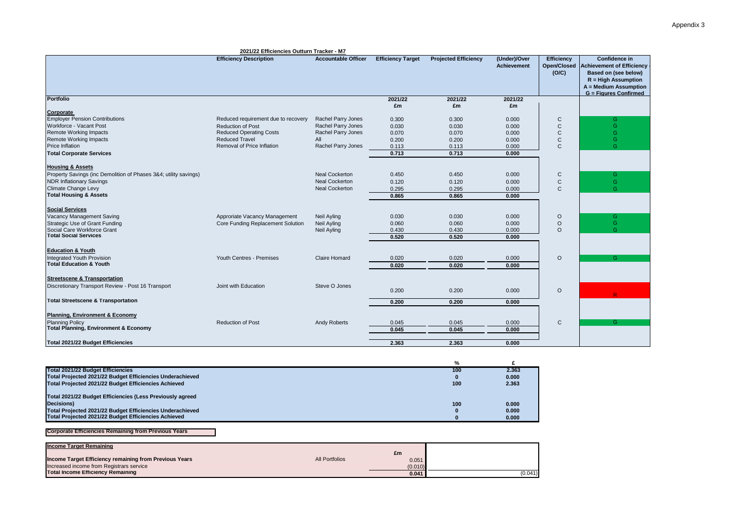| 2021/22 Efficiencies Outturn Tracker - M7                                  |                                     |                            |                          |                             |                                    |                                      |                                                                                                                                                             |
|----------------------------------------------------------------------------|-------------------------------------|----------------------------|--------------------------|-----------------------------|------------------------------------|--------------------------------------|-------------------------------------------------------------------------------------------------------------------------------------------------------------|
|                                                                            | <b>Efficiency Description</b>       | <b>Accountable Officer</b> | <b>Efficiency Target</b> | <b>Projected Efficiency</b> | (Under)/Over<br><b>Achievement</b> | Efficiency<br>Open/Closed  <br>(O/C) | Confidence in<br><b>Achievement of Efficiency</b><br>Based on (see below)<br>$R = High Assumption$<br>A = Medium Assumption<br><b>G</b> = Figures Confirmed |
| <b>Portfolio</b>                                                           |                                     |                            | 2021/22                  | 2021/22                     | 2021/22                            |                                      |                                                                                                                                                             |
|                                                                            |                                     |                            | £m                       | £m                          | £m                                 |                                      |                                                                                                                                                             |
| Corporate<br><b>Employer Pension Contributions</b>                         | Reduced requirement due to recovery | Rachel Parry Jones         | 0.300                    | 0.300                       | 0.000                              | C                                    | G                                                                                                                                                           |
| Workforce - Vacant Post                                                    | <b>Reduction of Post</b>            | Rachel Parry Jones         | 0.030                    | 0.030                       | 0.000                              | $\mathsf{C}$                         | G                                                                                                                                                           |
| <b>Remote Working Impacts</b>                                              | <b>Reduced Operating Costs</b>      | Rachel Parry Jones         | 0.070                    | 0.070                       | 0.000                              | $\mathsf{C}$                         | G                                                                                                                                                           |
| <b>Remote Working Impacts</b>                                              | <b>Reduced Travel</b>               | All                        | 0.200                    | 0.200                       | 0.000                              | C                                    | G                                                                                                                                                           |
| Price Inflation                                                            | Removal of Price Inflation          | Rachel Parry Jones         | 0.113                    | 0.113                       | 0.000                              | $\mathsf{C}$                         | G                                                                                                                                                           |
| <b>Total Corporate Services</b>                                            |                                     |                            | 0.713                    | 0.713                       | 0.000                              |                                      |                                                                                                                                                             |
|                                                                            |                                     |                            |                          |                             |                                    |                                      |                                                                                                                                                             |
| <b>Housing &amp; Assets</b>                                                |                                     |                            |                          |                             |                                    |                                      |                                                                                                                                                             |
| Property Savings (inc Demolition of Phases 3&4; utility savings)           |                                     | <b>Neal Cockerton</b>      | 0.450                    | 0.450                       | 0.000                              | C                                    | G                                                                                                                                                           |
| <b>NDR Inflationary Savings</b>                                            |                                     | <b>Neal Cockerton</b>      | 0.120                    | 0.120                       | 0.000                              | C                                    | G                                                                                                                                                           |
| Climate Change Levy                                                        |                                     | <b>Neal Cockerton</b>      | 0.295                    | 0.295                       | 0.000                              | $\mathsf{C}$                         | G                                                                                                                                                           |
| <b>Total Housing &amp; Assets</b>                                          |                                     |                            |                          |                             |                                    |                                      |                                                                                                                                                             |
|                                                                            |                                     |                            | 0.865                    | 0.865                       | 0.000                              |                                      |                                                                                                                                                             |
| <b>Social Services</b>                                                     |                                     |                            |                          |                             |                                    |                                      |                                                                                                                                                             |
| Vacancy Management Saving                                                  | Approriate Vacancy Management       | Neil Ayling                | 0.030                    | 0.030                       | 0.000                              | O                                    | G                                                                                                                                                           |
| Strategic Use of Grant Funding                                             | Core Funding Replacement Solution   | Neil Ayling                | 0.060                    | 0.060                       | 0.000                              | O                                    | G                                                                                                                                                           |
| Social Care Workforce Grant                                                |                                     | <b>Neil Ayling</b>         | 0.430                    | 0.430                       | 0.000                              | $\circ$                              | G                                                                                                                                                           |
| <b>Total Social Services</b>                                               |                                     |                            | 0.520                    | 0.520                       | 0.000                              |                                      |                                                                                                                                                             |
|                                                                            |                                     |                            |                          |                             |                                    |                                      |                                                                                                                                                             |
| <b>Education &amp; Youth</b>                                               |                                     |                            |                          |                             |                                    |                                      |                                                                                                                                                             |
| <b>Integrated Youth Provision</b>                                          | Youth Centres - Premises            | <b>Claire Homard</b>       | 0.020                    | 0.020                       | 0.000                              | $\circ$                              | G                                                                                                                                                           |
| <b>Total Education &amp; Youth</b>                                         |                                     |                            | 0.020                    | 0.020                       | 0.000                              |                                      |                                                                                                                                                             |
|                                                                            |                                     |                            |                          |                             |                                    |                                      |                                                                                                                                                             |
| <b>Streetscene &amp; Transportation</b>                                    |                                     |                            |                          |                             |                                    |                                      |                                                                                                                                                             |
| Discretionary Transport Review - Post 16 Transport                         | Joint with Education                | Steve O Jones              |                          |                             |                                    |                                      |                                                                                                                                                             |
|                                                                            |                                     |                            | 0.200                    | 0.200                       | 0.000                              | O                                    |                                                                                                                                                             |
| <b>Total Streetscene &amp; Transportation</b>                              |                                     |                            |                          |                             |                                    |                                      |                                                                                                                                                             |
|                                                                            |                                     |                            | 0.200                    | 0.200                       | 0.000                              |                                      |                                                                                                                                                             |
|                                                                            |                                     |                            |                          |                             |                                    |                                      |                                                                                                                                                             |
| Planning, Environment & Economy                                            |                                     |                            |                          |                             |                                    |                                      |                                                                                                                                                             |
| <b>Planning Policy</b><br><b>Total Planning, Environment &amp; Economy</b> | <b>Reduction of Post</b>            | <b>Andy Roberts</b>        | 0.045                    | 0.045                       | 0.000                              | $\mathsf{C}$                         | G.                                                                                                                                                          |
|                                                                            |                                     |                            | 0.045                    | 0.045                       | 0.000                              |                                      |                                                                                                                                                             |
| Total 2021/22 Budget Efficiencies                                          |                                     |                            | 2.363                    | 2.363                       | 0.000                              |                                      |                                                                                                                                                             |
|                                                                            |                                     |                            |                          |                             |                                    |                                      |                                                                                                                                                             |

|                                                           | $\frac{9}{6}$ |       |
|-----------------------------------------------------------|---------------|-------|
| <b>Total 2021/22 Budget Efficiencies</b>                  | 100           | 2.363 |
| Total Projected 2021/22 Budget Efficiencies Underachieved |               | 0.000 |
| Total Projected 2021/22 Budget Efficiencies Achieved      | 100           | 2.363 |
| Total 2021/22 Budget Efficiencies (Less Previously agreed |               |       |
| Decisions)                                                | 100           | 0.000 |
| Total Projected 2021/22 Budget Efficiencies Underachieved |               | 0.000 |
| Total Projected 2021/22 Budget Efficiencies Achieved      |               | 0.000 |

#### **Corporate Efficiencies Remaining from Previous Years**

| Income Target Remaining                                |                       | £m      |         |
|--------------------------------------------------------|-----------------------|---------|---------|
| Income Target Efficiency remaining from Previous Years | <b>All Portfolios</b> | 0.051   |         |
| Increased income from Registrars service               |                       | (0.010) |         |
| <b>Total Income Efficiency Remaining</b>               |                       | 0.041   | (0.041) |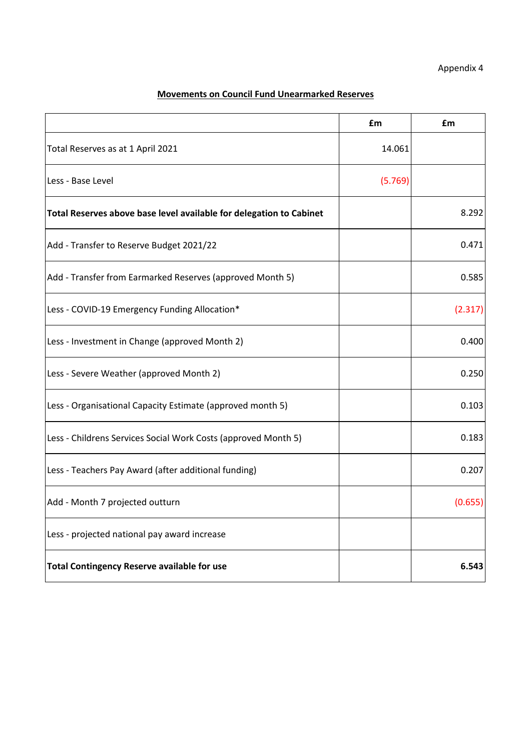# **Movements on Council Fund Unearmarked Reserves**

|                                                                     | £m      | £m      |
|---------------------------------------------------------------------|---------|---------|
| Total Reserves as at 1 April 2021                                   | 14.061  |         |
| Less - Base Level                                                   | (5.769) |         |
| Total Reserves above base level available for delegation to Cabinet |         | 8.292   |
| Add - Transfer to Reserve Budget 2021/22                            |         | 0.471   |
| Add - Transfer from Earmarked Reserves (approved Month 5)           |         | 0.585   |
| Less - COVID-19 Emergency Funding Allocation*                       |         | (2.317) |
| Less - Investment in Change (approved Month 2)                      |         | 0.400   |
| Less - Severe Weather (approved Month 2)                            |         | 0.250   |
| Less - Organisational Capacity Estimate (approved month 5)          |         | 0.103   |
| Less - Childrens Services Social Work Costs (approved Month 5)      |         | 0.183   |
| Less - Teachers Pay Award (after additional funding)                |         | 0.207   |
| Add - Month 7 projected outturn                                     |         | (0.655) |
| Less - projected national pay award increase                        |         |         |
| <b>Total Contingency Reserve available for use</b>                  |         | 6.543   |